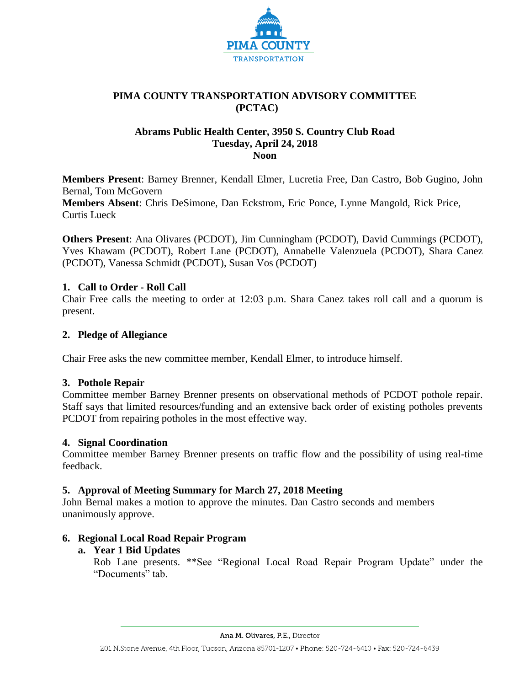

# **PIMA COUNTY TRANSPORTATION ADVISORY COMMITTEE (PCTAC)**

#### **Abrams Public Health Center, 3950 S. Country Club Road Tuesday, April 24, 2018 Noon**

**Members Present**: Barney Brenner, Kendall Elmer, Lucretia Free, Dan Castro, Bob Gugino, John Bernal, Tom McGovern **Members Absent**: Chris DeSimone, Dan Eckstrom, Eric Ponce, Lynne Mangold, Rick Price,

Curtis Lueck

**Others Present**: Ana Olivares (PCDOT), Jim Cunningham (PCDOT), David Cummings (PCDOT), Yves Khawam (PCDOT), Robert Lane (PCDOT), Annabelle Valenzuela (PCDOT), Shara Canez (PCDOT), Vanessa Schmidt (PCDOT), Susan Vos (PCDOT)

## **1. Call to Order - Roll Call**

Chair Free calls the meeting to order at 12:03 p.m. Shara Canez takes roll call and a quorum is present.

## **2. Pledge of Allegiance**

Chair Free asks the new committee member, Kendall Elmer, to introduce himself.

## **3. Pothole Repair**

Committee member Barney Brenner presents on observational methods of PCDOT pothole repair. Staff says that limited resources/funding and an extensive back order of existing potholes prevents PCDOT from repairing potholes in the most effective way.

## **4. Signal Coordination**

Committee member Barney Brenner presents on traffic flow and the possibility of using real-time feedback.

## **5. Approval of Meeting Summary for March 27, 2018 Meeting**

John Bernal makes a motion to approve the minutes. Dan Castro seconds and members unanimously approve.

## **6. Regional Local Road Repair Program**

## **a. Year 1 Bid Updates**

Rob Lane presents. \*\*See "Regional Local Road Repair Program Update" under the "Documents" tab.

Ana M. Olivares, P.E., Director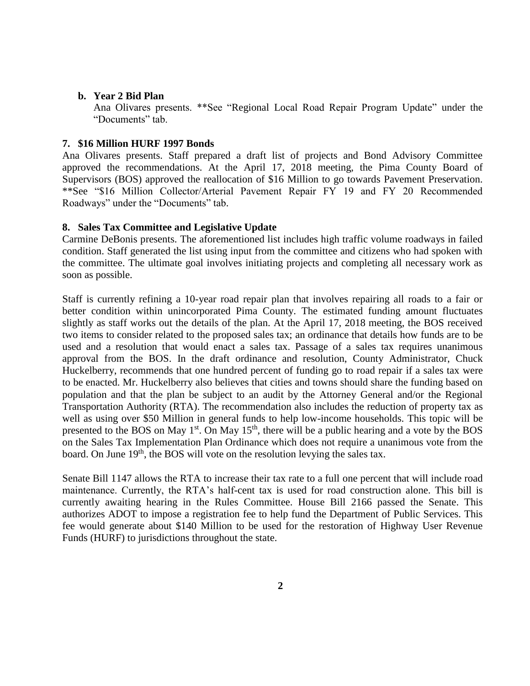#### **b. Year 2 Bid Plan**

Ana Olivares presents. \*\*See "Regional Local Road Repair Program Update" under the "Documents" tab.

#### **7. \$16 Million HURF 1997 Bonds**

Ana Olivares presents. Staff prepared a draft list of projects and Bond Advisory Committee approved the recommendations. At the April 17, 2018 meeting, the Pima County Board of Supervisors (BOS) approved the reallocation of \$16 Million to go towards Pavement Preservation. \*\*See "\$16 Million Collector/Arterial Pavement Repair FY 19 and FY 20 Recommended Roadways" under the "Documents" tab.

#### **8. Sales Tax Committee and Legislative Update**

Carmine DeBonis presents. The aforementioned list includes high traffic volume roadways in failed condition. Staff generated the list using input from the committee and citizens who had spoken with the committee. The ultimate goal involves initiating projects and completing all necessary work as soon as possible.

Staff is currently refining a 10-year road repair plan that involves repairing all roads to a fair or better condition within unincorporated Pima County. The estimated funding amount fluctuates slightly as staff works out the details of the plan. At the April 17, 2018 meeting, the BOS received two items to consider related to the proposed sales tax; an ordinance that details how funds are to be used and a resolution that would enact a sales tax. Passage of a sales tax requires unanimous approval from the BOS. In the draft ordinance and resolution, County Administrator, Chuck Huckelberry, recommends that one hundred percent of funding go to road repair if a sales tax were to be enacted. Mr. Huckelberry also believes that cities and towns should share the funding based on population and that the plan be subject to an audit by the Attorney General and/or the Regional Transportation Authority (RTA). The recommendation also includes the reduction of property tax as well as using over \$50 Million in general funds to help low-income households. This topic will be presented to the BOS on May  $1<sup>st</sup>$ . On May  $15<sup>th</sup>$ , there will be a public hearing and a vote by the BOS on the Sales Tax Implementation Plan Ordinance which does not require a unanimous vote from the board. On June 19<sup>th</sup>, the BOS will vote on the resolution levying the sales tax.

Senate Bill 1147 allows the RTA to increase their tax rate to a full one percent that will include road maintenance. Currently, the RTA's half-cent tax is used for road construction alone. This bill is currently awaiting hearing in the Rules Committee. House Bill 2166 passed the Senate. This authorizes ADOT to impose a registration fee to help fund the Department of Public Services. This fee would generate about \$140 Million to be used for the restoration of Highway User Revenue Funds (HURF) to jurisdictions throughout the state.